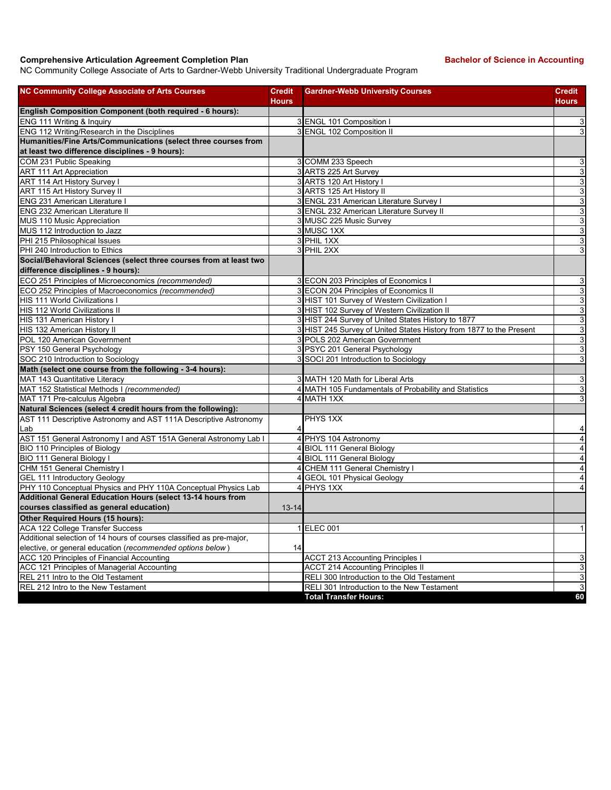## **Comprehensive Articulation Agreement Completion Plan Backelor of Science in Accounting**

NC Community College Associate of Arts to Gardner-Webb University Traditional Undergraduate Program

| <b>NC Community College Associate of Arts Courses</b>                | <b>Credit</b><br><b>Hours</b> | <b>Gardner-Webb University Courses</b>                              | <b>Credit</b><br><b>Hours</b> |
|----------------------------------------------------------------------|-------------------------------|---------------------------------------------------------------------|-------------------------------|
| English Composition Component (both required - 6 hours):             |                               |                                                                     |                               |
| ENG 111 Writing & Inquiry                                            |                               | 3 ENGL 101 Composition I                                            | $\mathsf 3$                   |
| ENG 112 Writing/Research in the Disciplines                          |                               | 3 ENGL 102 Composition II                                           | $\mathbf{3}$                  |
| Humanities/Fine Arts/Communications (select three courses from       |                               |                                                                     |                               |
| at least two difference disciplines - 9 hours):                      |                               |                                                                     |                               |
| COM 231 Public Speaking                                              |                               | 3 COMM 233 Speech                                                   | 3                             |
| <b>ART 111 Art Appreciation</b>                                      |                               | 3 ARTS 225 Art Survey                                               | $\mathbf{3}$                  |
| ART 114 Art History Survey I                                         |                               | 3 ARTS 120 Art History I                                            | 3                             |
| ART 115 Art History Survey II                                        |                               | 3 ARTS 125 Art History II                                           | $\overline{3}$                |
| <b>ENG 231 American Literature I</b>                                 |                               | 3 ENGL 231 American Literature Survey I                             | 3                             |
| <b>ENG 232 American Literature II</b>                                |                               | 3 ENGL 232 American Literature Survey II                            | $\overline{3}$                |
| MUS 110 Music Appreciation                                           |                               | 3 MUSC 225 Music Survey                                             | $\mathbf{3}$                  |
| MUS 112 Introduction to Jazz                                         |                               | 3 MUSC 1XX                                                          | 3                             |
| PHI 215 Philosophical Issues                                         |                               | 3 PHIL 1XX                                                          | 3                             |
| PHI 240 Introduction to Ethics                                       |                               | 3 PHIL 2XX                                                          | 3                             |
| Social/Behavioral Sciences (select three courses from at least two   |                               |                                                                     |                               |
| difference disciplines - 9 hours):                                   |                               |                                                                     |                               |
| ECO 251 Principles of Microeconomics (recommended)                   |                               | 3 ECON 203 Principles of Economics I                                | 3                             |
| ECO 252 Principles of Macroeconomics (recommended)                   |                               | 3 ECON 204 Principles of Economics II                               | $\mathbf{3}$                  |
| <b>HIS 111 World Civilizations I</b>                                 |                               | 3 HIST 101 Survey of Western Civilization I                         | 3                             |
| HIS 112 World Civilizations II                                       |                               | 3 HIST 102 Survey of Western Civilization II                        | $\overline{3}$                |
| HIS 131 American History I                                           |                               | 3 HIST 244 Survey of United States History to 1877                  | 3                             |
| HIS 132 American History II                                          |                               | 3 HIST 245 Survey of United States History from 1877 to the Present | 3                             |
| POL 120 American Government                                          |                               | 3 POLS 202 American Government                                      | 3                             |
| PSY 150 General Psychology                                           |                               | 3 PSYC 201 General Psychology                                       | 3                             |
| SOC 210 Introduction to Sociology                                    |                               | 3 SOCI 201 Introduction to Sociology                                | 3                             |
| Math (select one course from the following - 3-4 hours):             |                               |                                                                     |                               |
| MAT 143 Quantitative Literacy                                        |                               | 3 MATH 120 Math for Liberal Arts                                    | 3                             |
| MAT 152 Statistical Methods I (recommended)                          |                               | 4 MATH 105 Fundamentals of Probability and Statistics               | 3                             |
| MAT 171 Pre-calculus Algebra                                         |                               | 4 MATH 1XX                                                          | 3                             |
| Natural Sciences (select 4 credit hours from the following):         |                               |                                                                     |                               |
| AST 111 Descriptive Astronomy and AST 111A Descriptive Astronomy     |                               | PHYS 1XX                                                            |                               |
| lLab                                                                 |                               |                                                                     | 4                             |
| AST 151 General Astronomy I and AST 151A General Astronomy Lab I     | 4                             | PHYS 104 Astronomy                                                  | $\overline{4}$                |
| BIO 110 Principles of Biology                                        | 4                             | <b>BIOL 111 General Biology</b>                                     | $\overline{\mathbf{4}}$       |
| BIO 111 General Biology I                                            |                               | 4 BIOL 111 General Biology                                          | $\overline{\mathbf{4}}$       |
| CHM 151 General Chemistry I                                          |                               | 4 CHEM 111 General Chemistry I                                      | $\overline{4}$                |
| <b>GEL 111 Introductory Geology</b>                                  |                               | 4 GEOL 101 Physical Geology                                         | $\overline{4}$                |
| PHY 110 Conceptual Physics and PHY 110A Conceptual Physics Lab       |                               | 4 PHYS 1XX                                                          | $\overline{4}$                |
| Additional General Education Hours (select 13-14 hours from          |                               |                                                                     |                               |
| courses classified as general education)                             | $13 - 14$                     |                                                                     |                               |
| Other Required Hours (15 hours):                                     |                               |                                                                     |                               |
| <b>ACA 122 College Transfer Success</b>                              |                               | 1 ELEC 001                                                          | $\mathbf{1}$                  |
| Additional selection of 14 hours of courses classified as pre-major, |                               |                                                                     |                               |
| elective, or general education (recommended options below)           | 14                            |                                                                     |                               |
| ACC 120 Principles of Financial Accounting                           |                               | <b>ACCT 213 Accounting Principles I</b>                             | 3                             |
| ACC 121 Principles of Managerial Accounting                          |                               | <b>ACCT 214 Accounting Principles II</b>                            | 3                             |
| REL 211 Intro to the Old Testament                                   |                               | RELI 300 Introduction to the Old Testament                          | 3                             |
| REL 212 Intro to the New Testament                                   |                               | RELI 301 Introduction to the New Testament                          | $\overline{3}$                |
|                                                                      |                               | <b>Total Transfer Hours:</b>                                        | 60                            |